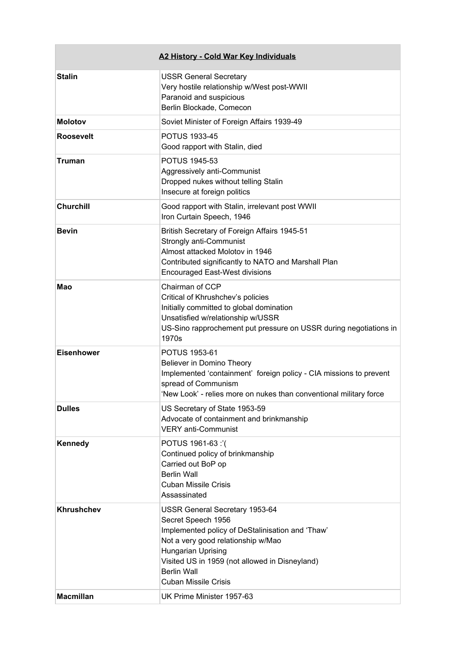|                                       | A2 History - Cold War Key Individuals                                                                                                                                                                                                                                                                           |
|---------------------------------------|-----------------------------------------------------------------------------------------------------------------------------------------------------------------------------------------------------------------------------------------------------------------------------------------------------------------|
| <b>Stalin</b>                         | <b>USSR General Secretary</b><br>Very hostile relationship w/West post-WWII<br>Paranoid and suspicious<br>Berlin Blockade, Comecon                                                                                                                                                                              |
| <b>Molotov</b>                        | Soviet Minister of Foreign Affairs 1939-49                                                                                                                                                                                                                                                                      |
| <b>Roosevelt</b>                      | <b>POTUS 1933-45</b><br>Good rapport with Stalin, died                                                                                                                                                                                                                                                          |
| <b>Truman</b>                         | <b>POTUS 1945-53</b><br>Aggressively anti-Communist<br>Dropped nukes without telling Stalin<br>Insecure at foreign politics                                                                                                                                                                                     |
| <b>Churchill</b>                      | Good rapport with Stalin, irrelevant post WWII<br>Iron Curtain Speech, 1946                                                                                                                                                                                                                                     |
| <b>Bevin</b>                          | British Secretary of Foreign Affairs 1945-51<br>Strongly anti-Communist<br>Almost attacked Molotov in 1946<br>Contributed significantly to NATO and Marshall Plan<br><b>Encouraged East-West divisions</b>                                                                                                      |
| Mao                                   | Chairman of CCP<br>Critical of Khrushchev's policies<br>Initially committed to global domination<br>Unsatisfied w/relationship w/USSR<br>US-Sino rapprochement put pressure on USSR during negotiations in<br>1970s                                                                                             |
| <b>Eisenhower</b>                     | POTUS 1953-61<br>Believer in Domino Theory<br>Implemented 'containment' foreign policy - CIA missions to prevent<br>spread of Communism<br>'New Look' - relies more on nukes than conventional military force                                                                                                   |
| <b>Dulles</b>                         | US Secretary of State 1953-59<br>Advocate of containment and brinkmanship<br><b>VERY anti-Communist</b>                                                                                                                                                                                                         |
| Kennedy                               | POTUS 1961-63 :'(<br>Continued policy of brinkmanship<br>Carried out BoP op<br><b>Berlin Wall</b><br><b>Cuban Missile Crisis</b><br>Assassinated                                                                                                                                                                |
| <b>Khrushchev</b><br><b>Macmillan</b> | <b>USSR General Secretary 1953-64</b><br>Secret Speech 1956<br>Implemented policy of DeStalinisation and 'Thaw'<br>Not a very good relationship w/Mao<br>Hungarian Uprising<br>Visited US in 1959 (not allowed in Disneyland)<br><b>Berlin Wall</b><br><b>Cuban Missile Crisis</b><br>UK Prime Minister 1957-63 |
|                                       |                                                                                                                                                                                                                                                                                                                 |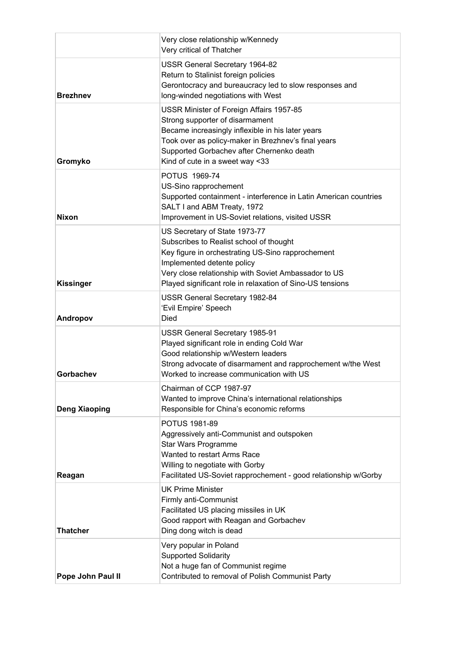|                      | Very close relationship w/Kennedy<br>Very critical of Thatcher                                                                                                                                                                                                                   |
|----------------------|----------------------------------------------------------------------------------------------------------------------------------------------------------------------------------------------------------------------------------------------------------------------------------|
| <b>Brezhnev</b>      | USSR General Secretary 1964-82<br>Return to Stalinist foreign policies<br>Gerontocracy and bureaucracy led to slow responses and<br>long-winded negotiations with West                                                                                                           |
| Gromyko              | USSR Minister of Foreign Affairs 1957-85<br>Strong supporter of disarmament<br>Became increasingly inflexible in his later years<br>Took over as policy-maker in Brezhnev's final years<br>Supported Gorbachev after Chernenko death<br>Kind of cute in a sweet way <33          |
| <b>Nixon</b>         | POTUS 1969-74<br>US-Sino rapprochement<br>Supported containment - interference in Latin American countries<br>SALT I and ABM Treaty, 1972<br>Improvement in US-Soviet relations, visited USSR                                                                                    |
| <b>Kissinger</b>     | US Secretary of State 1973-77<br>Subscribes to Realist school of thought<br>Key figure in orchestrating US-Sino rapprochement<br>Implemented detente policy<br>Very close relationship with Soviet Ambassador to US<br>Played significant role in relaxation of Sino-US tensions |
| Andropov             | <b>USSR General Secretary 1982-84</b><br>'Evil Empire' Speech<br>Died                                                                                                                                                                                                            |
| Gorbachev            | USSR General Secretary 1985-91<br>Played significant role in ending Cold War<br>Good relationship w/Western leaders<br>Strong advocate of disarmament and rapprochement w/the West<br>Worked to increase communication with US                                                   |
| <b>Deng Xiaoping</b> | Chairman of CCP 1987-97<br>Wanted to improve China's international relationships<br>Responsible for China's economic reforms                                                                                                                                                     |
| Reagan               | <b>POTUS 1981-89</b><br>Aggressively anti-Communist and outspoken<br>Star Wars Programme<br>Wanted to restart Arms Race<br>Willing to negotiate with Gorby<br>Facilitated US-Soviet rapprochement - good relationship w/Gorby                                                    |
| <b>Thatcher</b>      | <b>UK Prime Minister</b><br>Firmly anti-Communist<br>Facilitated US placing missiles in UK<br>Good rapport with Reagan and Gorbachev<br>Ding dong witch is dead                                                                                                                  |
| Pope John Paul II    | Very popular in Poland<br><b>Supported Solidarity</b><br>Not a huge fan of Communist regime<br>Contributed to removal of Polish Communist Party                                                                                                                                  |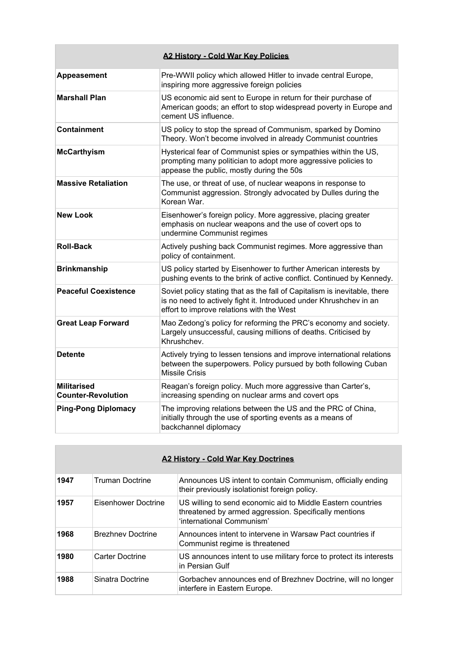|                                                 | A2 History - Cold War Key Policies                                                                                                                                                           |
|-------------------------------------------------|----------------------------------------------------------------------------------------------------------------------------------------------------------------------------------------------|
| Appeasement                                     | Pre-WWII policy which allowed Hitler to invade central Europe,<br>inspiring more aggressive foreign policies                                                                                 |
| <b>Marshall Plan</b>                            | US economic aid sent to Europe in return for their purchase of<br>American goods; an effort to stop widespread poverty in Europe and<br>cement US influence.                                 |
| <b>Containment</b>                              | US policy to stop the spread of Communism, sparked by Domino<br>Theory. Won't become involved in already Communist countries                                                                 |
| <b>McCarthyism</b>                              | Hysterical fear of Communist spies or sympathies within the US,<br>prompting many politician to adopt more aggressive policies to<br>appease the public, mostly during the 50s               |
| <b>Massive Retaliation</b>                      | The use, or threat of use, of nuclear weapons in response to<br>Communist aggression. Strongly advocated by Dulles during the<br>Korean War                                                  |
| <b>New Look</b>                                 | Eisenhower's foreign policy. More aggressive, placing greater<br>emphasis on nuclear weapons and the use of covert ops to<br>undermine Communist regimes                                     |
| <b>Roll-Back</b>                                | Actively pushing back Communist regimes. More aggressive than<br>policy of containment.                                                                                                      |
| <b>Brinkmanship</b>                             | US policy started by Eisenhower to further American interests by<br>pushing events to the brink of active conflict. Continued by Kennedy.                                                    |
| <b>Peaceful Coexistence</b>                     | Soviet policy stating that as the fall of Capitalism is inevitable, there<br>is no need to actively fight it. Introduced under Khrushchev in an<br>effort to improve relations with the West |
| <b>Great Leap Forward</b>                       | Mao Zedong's policy for reforming the PRC's economy and society.<br>Largely unsuccessful, causing millions of deaths. Criticised by<br>Khrushchev.                                           |
| <b>Detente</b>                                  | Actively trying to lessen tensions and improve international relations<br>between the superpowers. Policy pursued by both following Cuban<br><b>Missile Crisis</b>                           |
| <b>Militarised</b><br><b>Counter-Revolution</b> | Reagan's foreign policy. Much more aggressive than Carter's,<br>increasing spending on nuclear arms and covert ops                                                                           |
| <b>Ping-Pong Diplomacy</b>                      | The improving relations between the US and the PRC of China,<br>initially through the use of sporting events as a means of<br>backchannel diplomacy                                          |

| <b>A2 History - Cold War Key Doctrines</b> |                          |                                                                                                                                                   |
|--------------------------------------------|--------------------------|---------------------------------------------------------------------------------------------------------------------------------------------------|
| 1947                                       | <b>Truman Doctrine</b>   | Announces US intent to contain Communism, officially ending<br>their previously isolationist foreign policy.                                      |
| 1957                                       | Eisenhower Doctrine      | US willing to send economic aid to Middle Eastern countries<br>threatened by armed aggression. Specifically mentions<br>'international Communism' |
| 1968                                       | <b>Brezhnev Doctrine</b> | Announces intent to intervene in Warsaw Pact countries if<br>Communist regime is threatened                                                       |
| 1980                                       | Carter Doctrine          | US announces intent to use military force to protect its interests<br>in Persian Gulf                                                             |
| 1988                                       | Sinatra Doctrine         | Gorbachev announces end of Brezhnev Doctrine, will no longer<br>interfere in Eastern Europe.                                                      |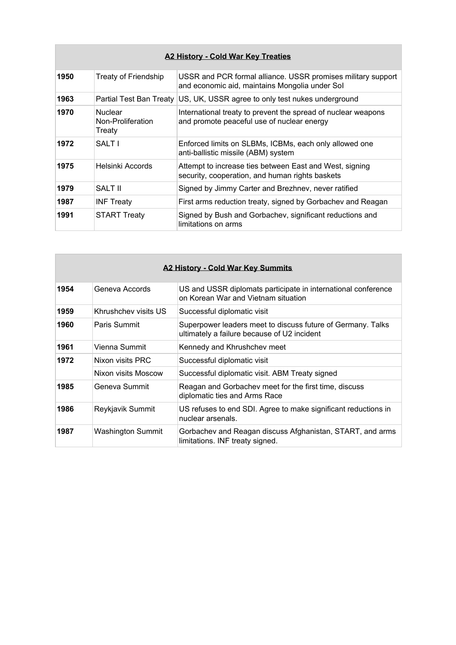| <b>A2 History - Cold War Key Treaties</b> |                                               |                                                                                                                |
|-------------------------------------------|-----------------------------------------------|----------------------------------------------------------------------------------------------------------------|
| 1950                                      | <b>Treaty of Friendship</b>                   | USSR and PCR formal alliance. USSR promises military support<br>and economic aid, maintains Mongolia under Sol |
| 1963                                      | Partial Test Ban Treaty                       | US, UK, USSR agree to only test nukes underground                                                              |
| 1970                                      | <b>Nuclear</b><br>Non-Proliferation<br>Treaty | International treaty to prevent the spread of nuclear weapons<br>and promote peaceful use of nuclear energy    |
| 1972                                      | <b>SALT I</b>                                 | Enforced limits on SLBMs, ICBMs, each only allowed one<br>anti-ballistic missile (ABM) system                  |
| 1975                                      | Helsinki Accords                              | Attempt to increase ties between East and West, signing<br>security, cooperation, and human rights baskets     |
| 1979                                      | <b>SALT II</b>                                | Signed by Jimmy Carter and Brezhnev, never ratified                                                            |
| 1987                                      | <b>INF Treaty</b>                             | First arms reduction treaty, signed by Gorbachev and Reagan                                                    |
| 1991                                      | <b>START Treaty</b>                           | Signed by Bush and Gorbachev, significant reductions and<br>limitations on arms                                |

| A2 History - Cold War Key Summits |                          |                                                                                                            |
|-----------------------------------|--------------------------|------------------------------------------------------------------------------------------------------------|
| 1954                              | Geneva Accords           | US and USSR diplomats participate in international conference<br>on Korean War and Vietnam situation       |
| 1959                              | Khrushchev visits US     | Successful diplomatic visit                                                                                |
| 1960                              | Paris Summit             | Superpower leaders meet to discuss future of Germany. Talks<br>ultimately a failure because of U2 incident |
| 1961                              | Vienna Summit            | Kennedy and Khrushchev meet                                                                                |
| 1972                              | Nixon visits PRC         | Successful diplomatic visit                                                                                |
|                                   | Nixon visits Moscow      | Successful diplomatic visit. ABM Treaty signed                                                             |
| 1985                              | Geneva Summit            | Reagan and Gorbachev meet for the first time, discuss<br>diplomatic ties and Arms Race                     |
| 1986                              | Reykjavik Summit         | US refuses to end SDI. Agree to make significant reductions in<br>nuclear arsenals.                        |
| 1987                              | <b>Washington Summit</b> | Gorbachev and Reagan discuss Afghanistan, START, and arms<br>limitations. INF treaty signed.               |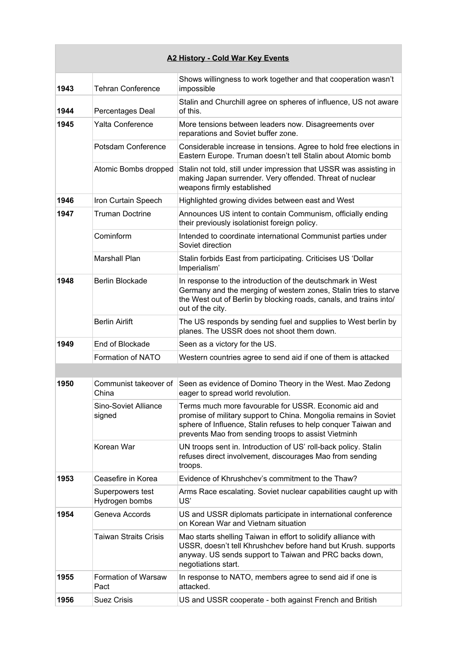| <b>A2 History - Cold War Key Events</b> |                                    |                                                                                                                                                                                                                                                    |
|-----------------------------------------|------------------------------------|----------------------------------------------------------------------------------------------------------------------------------------------------------------------------------------------------------------------------------------------------|
| 1943                                    | <b>Tehran Conference</b>           | Shows willingness to work together and that cooperation wasn't<br>impossible                                                                                                                                                                       |
| 1944                                    | Percentages Deal                   | Stalin and Churchill agree on spheres of influence, US not aware<br>of this.                                                                                                                                                                       |
| 1945                                    | <b>Yalta Conference</b>            | More tensions between leaders now. Disagreements over<br>reparations and Soviet buffer zone.                                                                                                                                                       |
|                                         | Potsdam Conference                 | Considerable increase in tensions. Agree to hold free elections in<br>Eastern Europe. Truman doesn't tell Stalin about Atomic bomb                                                                                                                 |
|                                         | Atomic Bombs dropped               | Stalin not told, still under impression that USSR was assisting in<br>making Japan surrender. Very offended. Threat of nuclear<br>weapons firmly established                                                                                       |
| 1946                                    | Iron Curtain Speech                | Highlighted growing divides between east and West                                                                                                                                                                                                  |
| 1947                                    | <b>Truman Doctrine</b>             | Announces US intent to contain Communism, officially ending<br>their previously isolationist foreign policy.                                                                                                                                       |
|                                         | Cominform                          | Intended to coordinate international Communist parties under<br>Soviet direction                                                                                                                                                                   |
|                                         | <b>Marshall Plan</b>               | Stalin forbids East from participating. Criticises US 'Dollar<br>Imperialism'                                                                                                                                                                      |
| 1948                                    | <b>Berlin Blockade</b>             | In response to the introduction of the deutschmark in West<br>Germany and the merging of western zones, Stalin tries to starve<br>the West out of Berlin by blocking roads, canals, and trains into/<br>out of the city.                           |
|                                         | <b>Berlin Airlift</b>              | The US responds by sending fuel and supplies to West berlin by<br>planes. The USSR does not shoot them down.                                                                                                                                       |
| 1949                                    | End of Blockade                    | Seen as a victory for the US.                                                                                                                                                                                                                      |
|                                         | Formation of NATO                  | Western countries agree to send aid if one of them is attacked                                                                                                                                                                                     |
|                                         |                                    |                                                                                                                                                                                                                                                    |
| 1950                                    | China                              | Communist takeover of Seen as evidence of Domino Theory in the West. Mao Zedong<br>eager to spread world revolution.                                                                                                                               |
|                                         | Sino-Soviet Alliance<br>signed     | Terms much more favourable for USSR. Economic aid and<br>promise of military support to China. Mongolia remains in Soviet<br>sphere of Influence, Stalin refuses to help conquer Taiwan and<br>prevents Mao from sending troops to assist Vietminh |
|                                         | Korean War                         | UN troops sent in. Introduction of US' roll-back policy. Stalin<br>refuses direct involvement, discourages Mao from sending<br>troops.                                                                                                             |
| 1953                                    | Ceasefire in Korea                 | Evidence of Khrushchev's commitment to the Thaw?                                                                                                                                                                                                   |
|                                         | Superpowers test<br>Hydrogen bombs | Arms Race escalating. Soviet nuclear capabilities caught up with<br>US'                                                                                                                                                                            |
| 1954                                    | Geneva Accords                     | US and USSR diplomats participate in international conference<br>on Korean War and Vietnam situation                                                                                                                                               |
|                                         | <b>Taiwan Straits Crisis</b>       | Mao starts shelling Taiwan in effort to solidify alliance with<br>USSR, doesn't tell Khrushchev before hand but Krush. supports<br>anyway. US sends support to Taiwan and PRC backs down,<br>negotiations start.                                   |
| 1955                                    | Formation of Warsaw<br>Pact        | In response to NATO, members agree to send aid if one is<br>attacked.                                                                                                                                                                              |
| 1956                                    | <b>Suez Crisis</b>                 | US and USSR cooperate - both against French and British                                                                                                                                                                                            |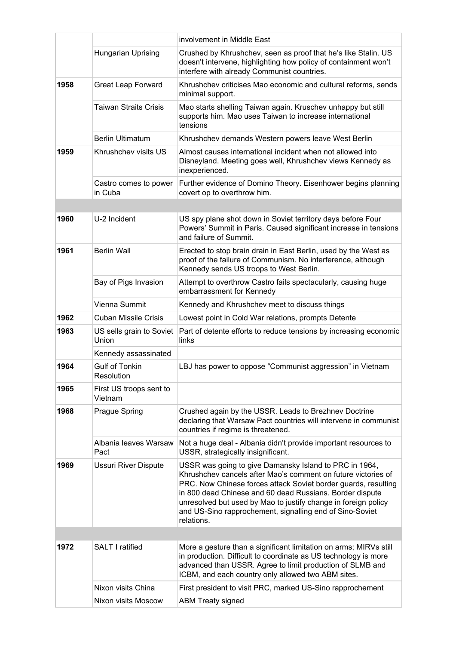|      |                                     | involvement in Middle East                                                                                                                                                                                                                                                                                                                                                                        |
|------|-------------------------------------|---------------------------------------------------------------------------------------------------------------------------------------------------------------------------------------------------------------------------------------------------------------------------------------------------------------------------------------------------------------------------------------------------|
|      | Hungarian Uprising                  | Crushed by Khrushchev, seen as proof that he's like Stalin. US<br>doesn't intervene, highlighting how policy of containment won't<br>interfere with already Communist countries.                                                                                                                                                                                                                  |
| 1958 | <b>Great Leap Forward</b>           | Khrushchev criticises Mao economic and cultural reforms, sends<br>minimal support.                                                                                                                                                                                                                                                                                                                |
|      | <b>Taiwan Straits Crisis</b>        | Mao starts shelling Taiwan again. Kruschev unhappy but still<br>supports him. Mao uses Taiwan to increase international<br>tensions                                                                                                                                                                                                                                                               |
|      | <b>Berlin Ultimatum</b>             | Khrushchev demands Western powers leave West Berlin                                                                                                                                                                                                                                                                                                                                               |
| 1959 | Khrushchev visits US                | Almost causes international incident when not allowed into<br>Disneyland. Meeting goes well, Khrushchev views Kennedy as<br>inexperienced.                                                                                                                                                                                                                                                        |
|      | Castro comes to power<br>in Cuba    | Further evidence of Domino Theory. Eisenhower begins planning<br>covert op to overthrow him.                                                                                                                                                                                                                                                                                                      |
|      |                                     |                                                                                                                                                                                                                                                                                                                                                                                                   |
| 1960 | U-2 Incident                        | US spy plane shot down in Soviet territory days before Four<br>Powers' Summit in Paris. Caused significant increase in tensions<br>and failure of Summit.                                                                                                                                                                                                                                         |
| 1961 | <b>Berlin Wall</b>                  | Erected to stop brain drain in East Berlin, used by the West as<br>proof of the failure of Communism. No interference, although<br>Kennedy sends US troops to West Berlin.                                                                                                                                                                                                                        |
|      | Bay of Pigs Invasion                | Attempt to overthrow Castro fails spectacularly, causing huge<br>embarrassment for Kennedy                                                                                                                                                                                                                                                                                                        |
|      | Vienna Summit                       | Kennedy and Khrushchev meet to discuss things                                                                                                                                                                                                                                                                                                                                                     |
| 1962 | <b>Cuban Missile Crisis</b>         | Lowest point in Cold War relations, prompts Detente                                                                                                                                                                                                                                                                                                                                               |
| 1963 | US sells grain to Soviet<br>Union   | Part of detente efforts to reduce tensions by increasing economic<br>links                                                                                                                                                                                                                                                                                                                        |
|      | Kennedy assassinated                |                                                                                                                                                                                                                                                                                                                                                                                                   |
| 1964 | <b>Gulf of Tonkin</b><br>Resolution | LBJ has power to oppose "Communist aggression" in Vietnam                                                                                                                                                                                                                                                                                                                                         |
| 1965 | First US troops sent to<br>Vietnam  |                                                                                                                                                                                                                                                                                                                                                                                                   |
| 1968 | Prague Spring                       | Crushed again by the USSR. Leads to Brezhnev Doctrine<br>declaring that Warsaw Pact countries will intervene in communist<br>countries if regime is threatened.                                                                                                                                                                                                                                   |
|      | Albania leaves Warsaw<br>Pact       | Not a huge deal - Albania didn't provide important resources to<br>USSR, strategically insignificant.                                                                                                                                                                                                                                                                                             |
| 1969 | <b>Ussuri River Dispute</b>         | USSR was going to give Damansky Island to PRC in 1964,<br>Khrushchev cancels after Mao's comment on future victories of<br>PRC. Now Chinese forces attack Soviet border guards, resulting<br>in 800 dead Chinese and 60 dead Russians. Border dispute<br>unresolved but used by Mao to justify change in foreign policy<br>and US-Sino rapprochement, signalling end of Sino-Soviet<br>relations. |
|      |                                     |                                                                                                                                                                                                                                                                                                                                                                                                   |
| 1972 | SALT I ratified                     | More a gesture than a significant limitation on arms; MIRVs still<br>in production. Difficult to coordinate as US technology is more<br>advanced than USSR. Agree to limit production of SLMB and<br>ICBM, and each country only allowed two ABM sites.                                                                                                                                           |
|      | Nixon visits China                  | First president to visit PRC, marked US-Sino rapprochement                                                                                                                                                                                                                                                                                                                                        |
|      | Nixon visits Moscow                 | <b>ABM Treaty signed</b>                                                                                                                                                                                                                                                                                                                                                                          |